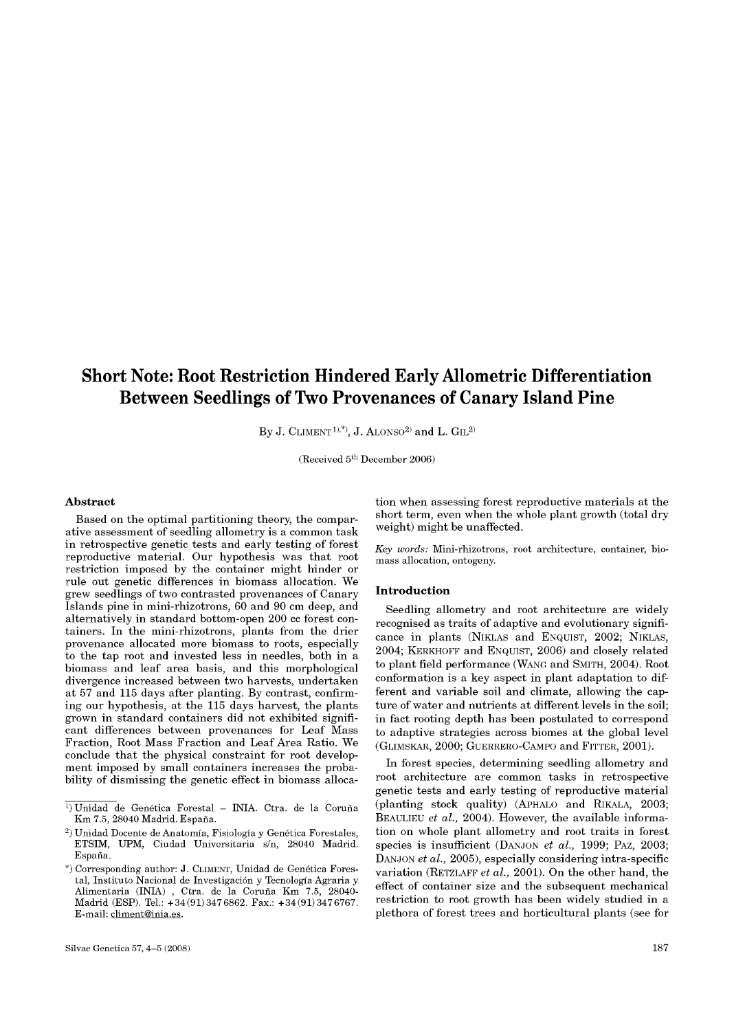# Short Note: Root Restriction Hindered Early Allometric Differentiation Between Seedlings of Two Provenances of Canary Island Pine

By J. CLIMENT<sup>1),\*)</sup>, J. ALONSO<sup>2)</sup> and L. GIL<sup>2)</sup>

(Received 5<sup>th</sup> December 2006)

#### **Abstract**

Based on the optimal partitioning theory, the comparative assessment of seedling allometry is a common task in retrospective genetic tests and early testing of forest reproductive material. Our hypothesis was that root restriction imposed by the container might hinder or rule out genetic differences in biomass allocation. We grew seedlings of two contrasted provenances of Canary Islands pine in mini-rhizotrons, 60 and 90 cm deep, and alternatively in standard bottom-open 200 cc forest containers. In the mini-rhizotrons, plants from the drier provenance allocated more biomass to roots, especially to the tap root and invested less in needles, both in a biomass and leaf area basis, and this morphological divergence increased between two harvests, undertaken at 57 and 115 days after planting. By contrast, confirming our hypothesis, at the 115 days harvest, the plants grown in standard containers did not exhibited significant differences between provenances for Leaf Mass Fraction, Root Mass Fraction and Leaf Area Ratio. We conclude that the physical constraint for root development imposed by small containers increases the probability of dismissing the genetic effect in biomass allocation when assessing forest reproductive materials at the short term, even when the whole plant growth (total dry weight) might be unaffected.

*Key words:* Mini-rhizotrons, root architecture, container, biomass allocation, ontogeny.

# **Introduction**

Seedling allometry and root architecture are widely recognised as traits of adaptive and evolutionary significance in plants (NIKLAS and ENQUIST, 2002; NIKLAS, 2004; KERKHOFF and ENQUIST, 2006) and closely related to plant field performance (WANG and SMITH, 2004). Root conformation is a key aspect in plant adaptation to different and variable soil and climate, allowing the capture of water and nutrients at different levels in the soil; in fact rooting depth has been postulated to correspond to adaptive strategies across biomes at the global level (GLIMSKAR, 2000; GUERRERO-CAMPO and FITTER, 2001).

In forest species, determining seedling allometry and root architecture are common tasks in retrospective genetic tests and early testing of reproductive material (planting stock quality) (APHALO and RlKALA, 2003; BEAULIEU *et al.,* 2004). However, the available information on whole plant allometry and root traits in forest species is insufficient (DANJON *et al.,* 1999; PAZ, 2003; DANJON *et al.,* 2005), especially considering intra-specific variation (RETZLAFF *et al.,* 2001). On the other hand, the effect of container size and the subsequent mechanical restriction to root growth has been widely studied in a plethora of forest trees and horticultural plants (see for

<sup>&</sup>lt;sup>1</sup>) Unidad de Genética Forestal - INIA. Ctra. de la Coruña Km 7.5, 28040 Madrid. Espana.

<sup>&</sup>lt;sup>2</sup>) Unidad Docente de Anatomía, Fisiología y Genética Forestales, ETSIM, UPM, Ciudad Universitaria s/n, 28040 Madrid. Espana.

<sup>\*)</sup> Corresponding author: J. CLIMENT, Unidad de Genetica Forestal, Instituto Nacional de Investigación y Tecnología Agraria y Alimentaria (INIA) , Ctra. de la Coruna Km 7.5, 28040- Madrid (ESP). Tel.: +34(91)347 6862. Fax.: +34(91)347 6767. E-mail: [climent@inia.es.](mailto:climent@inia.es)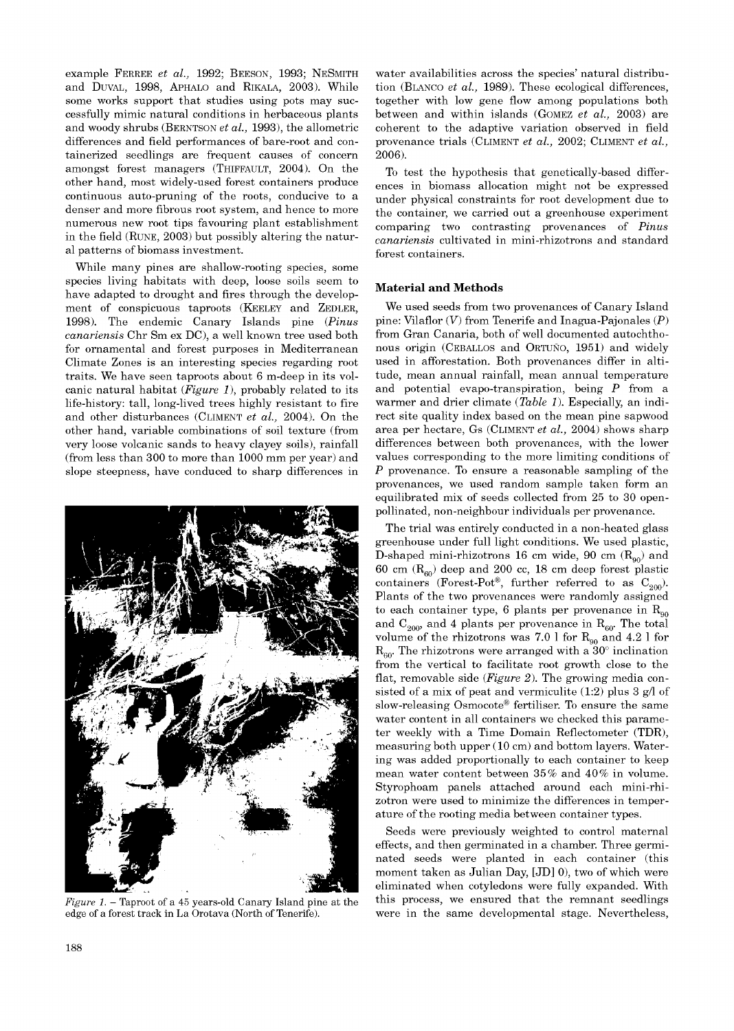example FERREE *et al.,* 1992; BEESON, 1993; NESMITH and DUVAL, 1998, APHALO and RIKALA, 2003). While some works support that studies using pots may successfully mimic natural conditions in herbaceous plants and woody shrubs (BERNTSON *et al.,* 1993), the allometric differences and field performances of bare-root and containerized seedlings are frequent causes of concern amongst forest managers (THIFFAULT, 2004). On the other hand, most widely-used forest containers produce continuous auto-pruning of the roots, conducive to a denser and more fibrous root system, and hence to more numerous new root tips favouring plant establishment in the field (RUNE, 2003) but possibly altering the natural patterns of biomass investment.

While many pines are shallow-rooting species, some species living habitats with deep, loose soils seem to have adapted to drought and fires through the development of conspicuous taproots (KEELEY and ZEDLER, 1998). The endemic Canary Islands pine (*Pinus canariensis* Chr Sm ex DC) , a well known tree used both for ornamental and forest purposes in Mediterranean Climate Zones is an interesting species regarding root traits. We have seen taproots about 6 m-deep in its volcanic natural habitat (*Figure 1*), probably related to its life-history: tall, long-lived trees highly resistant to fire and other disturbances (CLIMENT *et al.,* 2004). On the other hand, variable combinations of soil texture (from very loose volcanic sands to heavy clayey soils), rainfall (from less than 300 to more than 1000 mm per year) and slope steepness, have conduced to sharp differences in



*Figure 1.* – Taproot of a 45 years-old Canary Island pine at the edge of a forest track in La Orotava (North of Tenerife).

water availabilities across the species' natural distribution (BLANCO *et al.,* 1989). These ecological differences, together with low gene flow among populations both between and within islands (GOMEZ *et al.,* 2003) are coherent to the adaptive variation observed in field provenance trials (CLIMENT *et al.,* 2002; CLIMENT *et al.,*  2006).

To test the hypothesis that genetically-based differences in biomass allocation might not be expressed under physical constraints for root development due to the container, we carried out a greenhouse experiment comparing two contrasting provenances of *Pinus canariensis* cultivated in mini-rhizotrons and standard forest containers.

## **Material and Methods**

We used seeds from two provenances of Canary Island pine: Vilaflor (*V*) from Tenerife and Inagua-Pajonales (*P*) from Gran Canaria, both of well documented autochthonous origin (CEBALLOS and ORTUÑO, 1951) and widely used in afforestation. Both provenances differ in altitude, mean annual rainfall, mean annual temperature and potential evapo-transpiration, being *P* from a warmer and drier climate (*Table 1*). Especially, an indirect site quality index based on the mean pine sapwood area per hectare, Gs (CLIMENT *et al.,* 2004) shows sharp differences between both provenances, with the lower values corresponding to the more limiting conditions of *P* provenance. To ensure a reasonable sampling of the provenances, we used random sample taken form an equilibrated mix of seeds collected from 25 to 30 openpollinated, non-neighbour individuals per provenance.

The trial was entirely conducted in a non-heated glass greenhouse under full light conditions. We used plastic, D-shaped mini-rhizotrons 16 cm wide, 90 cm  $(R_{90})$  and 60 cm  $(R_{60})$  deep and 200 cc, 18 cm deep forest plastic containers (Forest-Pot<sup>®</sup>, further referred to as  $C_{200}$ ). Plants of the two provenances were randomly assigned to each container type, 6 plants per provenance in  $R_{\alpha 0}$ and  $C_{200}$ , and 4 plants per provenance in  $R_{60}$ . The total volume of the rhizotrons was 7.0 l for  $R_{90}$  and 4.2 l for  $R_{60}$ . The rhizotrons were arranged with a 30° inclination from the vertical to facilitate root growth close to the flat, removable side (*Figure 2*). The growing media consisted of a mix of peat and vermiculite  $(1:2)$  plus 3 g/l of slow-releasing Osmocote® fertiliser. To ensure the same water content in all containers we checked this parameter weekly with a Time Domain Reflectometer (TDR), measuring both upper (10 cm) and bottom layers. Watering was added proportionally to each container to keep mean water content between 35 % and 40% in volume. Styrophoam panels attached around each mini-rhizotron were used to minimize the differences in temperature of the rooting media between container types.

Seeds were previously weighted to control maternal effects, and then germinated in a chamber. Three germinated seeds were planted in each container (this moment taken as Julian Day, [JD] 0), two of which were eliminated when cotyledons were fully expanded. With this process, we ensured that the remnant seedlings were in the same developmental stage. Nevertheless,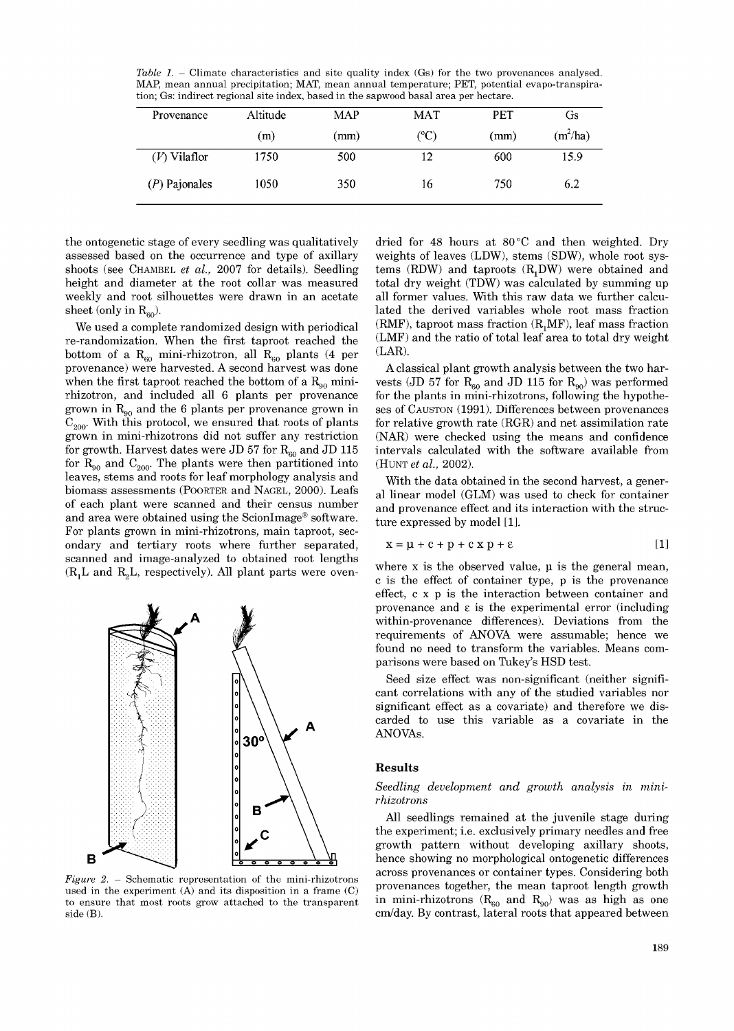*Table 1.* – Climate characteristics and site quality index (Gs) for the two provenances analysed. MAP, mean annual precipitation; MAT, mean annual temperature; PET, potential evapo-transpiration; Gs: indirect regional site index, based in the sapwood basal area per hectare.

| Provenance      | Altitude | <b>MAP</b> | <b>MAT</b>    | <b>PET</b> | Gs         |
|-----------------|----------|------------|---------------|------------|------------|
|                 | (m)      | (mm)       | $(^{\circ}C)$ | (mm)       | $(m^2/ha)$ |
| $(V)$ Vilaflor  | 1750     | 500        | 12            | 600        | 15.9       |
| $(P)$ Pajonales | 1050     | 350        | 16            | 750        | 6.2        |

the ontogenetic stage of every seedling was qualitatively assessed based on the occurrence and type of axillary shoots (see CHAMBEL *et al.,* 2007 for details). Seedling height and diameter at the root collar was measured weekly and root silhouettes were drawn in an acetate sheet (only in  $R_{60}$ ).

We used a complete randomized design with periodical re-randomization. When the first taproot reached the bottom of a  $R_{60}$  mini-rhizotron, all  $R_{60}$  plants (4 per provenance) were harvested. A second harvest was done when the first taproot reached the bottom of a  $R_{\alpha}$  minirhizotron, and included all 6 plants per provenance grown in  $R_{90}$  and the 6 plants per provenance grown in  $C_{200}$ . With this protocol, we ensured that roots of plants grown in mini-rhizotrons did not suffer any restriction for growth. Harvest dates were JD 57 for  $R_{\rm so}$  and JD 115 for  $R_{90}$  and  $C_{200}$ . The plants were then partitioned into leaves, stems and roots for leaf morphology analysis and biomass assessments (POORTER and NAGEL, 2000). Leafs of each plant were scanned and their census number and area were obtained using the ScionImage® software. For plants grown in mini-rhizotrons, main taproot, secondary and tertiary roots where further separated, scanned and image-analyzed to obtained root lengths  $(R_1L$  and  $R_2L$ , respectively). All plant parts were oven-



*Figure 2.* – Schematic representation of the mini-rhizotrons used in the experiment (A) and its disposition in a frame (C) to ensure that most roots grow attached to the transparent side (B).

dried for 48 hours at  $80^{\circ}$ C and then weighted. Dry weights of leaves (LDW), stems (SDW), whole root systems (RDW) and taproots  $(R_1 DW)$  were obtained and total dry weight (TDW) was calculated by summing up all former values. With this raw data we further calculated the derived variables whole root mass fraction  $(RMF)$ , taproot mass fraction  $(R<sub>1</sub> MF)$ , leaf mass fraction (LMF) and the ratio of total leaf area to total dry weight (LAR).

A classical plant growth analysis between the two harvests (JD 57 for  $R_{60}$  and JD 115 for  $R_{90}$ ) was performed for the plants in mini-rhizotrons, following the hypotheses of CAUSTON (1991). Differences between provenances for relative growth rate  $(RGR)$  and net assimilation rate (NAR) were checked using the means and confidence intervals calculated with the software available from (HUNT *et al.,* 2002).

With the data obtained in the second harvest, a general linear model (GLM) was used to check for container and provenance effect and its interaction with the structure expressed by model [1].

$$
x = \mu + c + p + c \times p + \epsilon
$$
 [1]

where  $x$  is the observed value,  $\mu$  is the general mean, c is the effect of container type, p is the provenance effect, c x p is the interaction between container and provenance and  $\varepsilon$  is the experimental error (including within-provenance differences). Deviations from the requirements of ANOVA were assumable; hence we found no need to transform the variables. Means comparisons were based on Tukey's HSD test.

Seed size effect was non-significant (neither significant correlations with any of the studied variables nor significant effect as a covariate) and therefore we discarded to use this variable as a covariate in the ANOVAs.

### **Results**

*Seedling development and growth analysis in minirhizotrons* 

All seedlings remained at the juvenile stage during the experiment; i.e. exclusively primary needles and free growth pattern without developing axillary shoots, hence showing no morphological ontogenetic differences across provenances or container types. Considering both provenances together, the mean taproot length growth in mini-rhizotrons ( $R_{60}$  and  $R_{90}$ ) was as high as one cm/day. By contrast, lateral roots that appeared between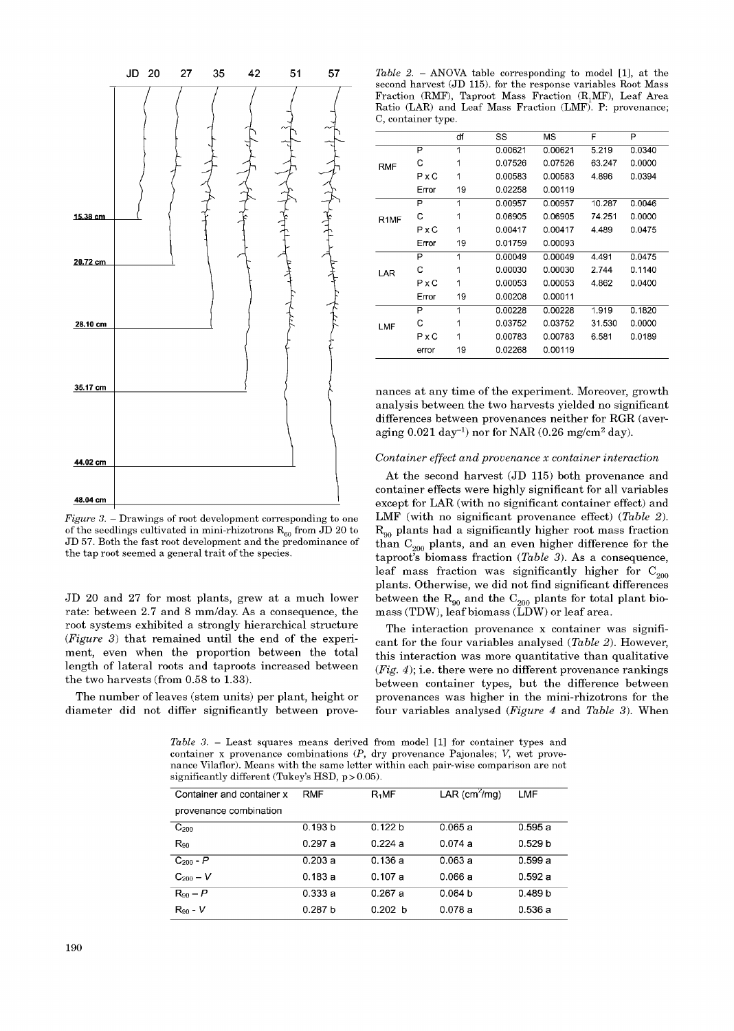

*Figure 3.* – Drawings of root development corresponding to one of the seedlings cultivated in mini-rhizotrons  $R_{60}$  from JD 20 to JD 57. Both the fast root development and the predominance of the tap root seemed a general trait of the species.

JD 20 and 27 for most plants, grew at a much lower rate: between 2.7 and 8 mm/day. As a consequence, the root systems exhibited a strongly hierarchical structure  $(Figure 3)$  that remained until the end of the experiment, even when the proportion between the total length of lateral roots and taproots increased between the two harvests (from 0.58 to 1.33).

The number of leaves (stem units) per plant, height or diameter did not differ significantly between prove-

*Table 2.* – ANOVA table corresponding to model  $[1]$ , at the second harvest (JD 115). for the response variables Root Mass Fraction (RMF), Taproot Mass Fraction  $(R, MF)$ , Leaf Area Ratio (LAR) and Leaf Mass Fraction (LMF). P: provenance; C, container type.

|                   |              | df | SS      | MS      | F      | P      |
|-------------------|--------------|----|---------|---------|--------|--------|
| <b>RMF</b>        | P            | 1  | 0.00621 | 0.00621 | 5.219  | 0.0340 |
|                   | C            | 1  | 0.07526 | 0.07526 | 63.247 | 0.0000 |
|                   | PxC          | 1  | 0.00583 | 0.00583 | 4.896  | 0.0394 |
|                   | Error        | 19 | 0.02258 | 0.00119 |        |        |
| R <sub>1</sub> MF | P            | 1  | 0.00957 | 0.00957 | 10.287 | 0.0046 |
|                   | С            | 1  | 0.06905 | 0.06905 | 74.251 | 0.0000 |
|                   | PxC          | 1  | 0.00417 | 0.00417 | 4.489  | 0.0475 |
|                   | Error        | 19 | 0.01759 | 0.00093 |        |        |
| LAR               | P            | 1  | 0.00049 | 0.00049 | 4.491  | 0.0475 |
|                   | C            | 1  | 0.00030 | 0.00030 | 2.744  | 0.1140 |
|                   | $P \times C$ | 1  | 0.00053 | 0.00053 | 4.862  | 0.0400 |
|                   | Error        | 19 | 0.00208 | 0.00011 |        |        |
| LMF               | P            | 1  | 0.00228 | 0.00228 | 1.919  | 0.1820 |
|                   | C            | 1  | 0.03752 | 0.03752 | 31.530 | 0.0000 |
|                   | PxC          | 1  | 0.00783 | 0.00783 | 6.581  | 0.0189 |
|                   | error        | 19 | 0.02268 | 0.00119 |        |        |

nances at any time of the experiment. Moreover, growth analysis between the two harvests yielded no significant differences between provenances neither for RGR (averaging  $0.021 \text{ day}^{-1}$ ) nor for NAR  $(0.26 \text{ mg/cm}^2 \text{ day})$ .

## *Container effect and provenance x container interaction*

At the second harvest (JD 115) both provenance and container effects were highly significant for all variables except for LAR (with no significant container effect) and LMF (with no significant provenance effect) (*Table 2*).  $R_{90}$  plants had a significantly higher root mass fraction than  $C_{200}$  plants, and an even higher difference for the taproot's biomass fraction (*Table 3*). As a consequence, leaf mass fraction was significantly higher for  $C_{200}$ plants. Otherwise, we did not find significant differences between the  $R_{00}$  and the  $C_{200}$  plants for total plant biomass (TDW), leaf biomass ( $\widetilde{L}DW$ ) or leaf area.

The interaction provenance x container was significant for the four variables analysed (*Table 2*). However, this interaction was more quantitative than qualitative (*Fig. 4*); i.e. there were no different provenance rankings between container types, but the difference between provenances was higher in the mini-rhizotrons for the four variables analysed (*Figure 4* and *Table 3*). When

*Table 3.* – Least squares means derived from model [1] for container types and container x provenance combinations (*P*, dry provenance Pajonales; *V*, wet provenance Vilaflor). Means with the same letter within each pair-wise comparison are not significantly different (Tukey's HSD,  $p > 0.05$ ).

| Container and container x | <b>RMF</b>         | R <sub>1</sub> MF | LAR (cm <sup>2</sup> /mg) | LMF                |
|---------------------------|--------------------|-------------------|---------------------------|--------------------|
| provenance combination    |                    |                   |                           |                    |
| $C_{200}$                 | 0.193 b            | 0.122 b           | 0.065a                    | 0.595a             |
| $R_{90}$                  | 0.297a             | 0.224a            | 0.074a                    | 0.529 <sub>b</sub> |
| $C_{200} - P$             | 0.203a             | 0.136a            | 0.063a                    | 0.599a             |
| $C_{200} - V$             | 0.183a             | 0.107a            | 0.066a                    | 0.592a             |
| $R_{90} - P$              | 0.333a             | 0.267a            | 0.064 <sub>b</sub>        | 0.489 b            |
| $R_{90}$ - $V$            | 0.287 <sub>b</sub> | 0.202 b           | 0.078a                    | 0.536a             |
|                           |                    |                   |                           |                    |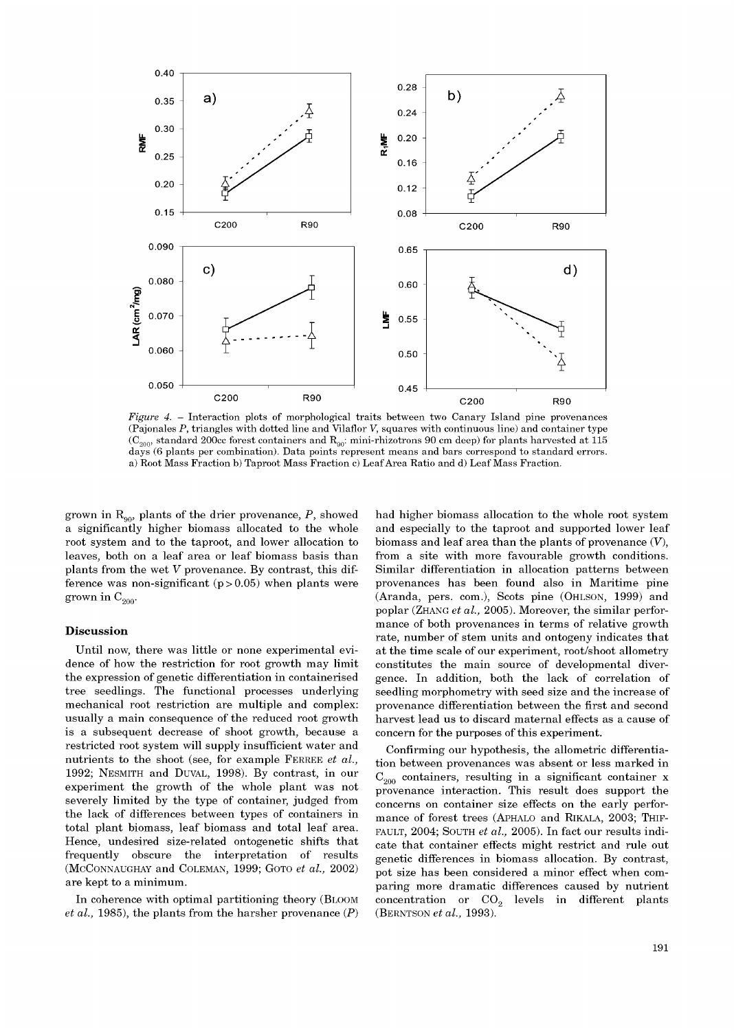

*Figure 4.* – Interaction plots of morphological traits between two Canary Island pine provenances (Pajonales *P*, triangles with dotted line and Vilaflor *V*, squares with continuous line) and container type ( $C_{200}$ , standard 200cc forest containers and  $R_{90}$ : mini-rhizotrons 90 cm deep) for plants harvested at 115 days (6 plants per combination). Data points represent means and bars correspond to standard errors. a) Root Mass Fraction b) Taproot Mass Fraction c) Leaf Area Ratio and d) Leaf Mass Fraction.

grown in  $R_{\alpha 0}$ , plants of the drier provenance, P, showed a significantly higher biomass allocated to the whole root system and to the taproot, and lower allocation to leaves, both on a leaf area or leaf biomass basis than plants from the wet *V* provenance. By contrast, this difference was non-significant  $(p > 0.05)$  when plants were grown in  $C_{200}$ .

## **Discussion**

Until now, there was little or none experimental evidence of how the restriction for root growth may limit the expression of genetic differentiation in containerised tree seedlings. The functional processes underlying mechanical root restriction are multiple and complex: usually a main consequence of the reduced root growth is a subsequent decrease of shoot growth, because a restricted root system will supply insufficient water and nutrients to the shoot (see, for example FERREE *et al.,*  1992; NESMITH and DUVAL, 1998). By contrast, in our experiment the growth of the whole plant was not severely limited by the type of container, judged from the lack of differences between types of containers in total plant biomass, leaf biomass and total leaf area. Hence, undesired size-related ontogenetic shifts that frequently obscure the interpretation of results (MCCONNAUGHAY and COLEMAN, 1999; GOTO *et al.,* 2002) are kept to a minimum.

In coherence with optimal partitioning theory (BLOOM *et al.,* 1985), the plants from the harsher provenance (*P*) had higher biomass allocation to the whole root system and especially to the taproot and supported lower leaf biomass and leaf area than the plants of provenance (*V*), from a site with more favourable growth conditions. Similar differentiation in allocation patterns between provenances has been found also in Maritime pine (Aranda, pers. com.), Scots pine (OHLSON, 1999) and poplar (ZHANG *et al.,* 2005). Moreover, the similar performance of both provenances in terms of relative growth rate, number of stem units and ontogeny indicates that at the time scale of our experiment, root/shoot allometry constitutes the main source of developmental divergence. In addition, both the lack of correlation of seedling morphometry with seed size and the increase of provenance differentiation between the first and second harvest lead us to discard maternal effects as a cause of concern for the purposes of this experiment.

Confirming our hypothesis, the allometric differentiation between provenances was absent or less marked in  $C_{200}$  containers, resulting in a significant container x provenance interaction. This result does support the concerns on container size effects on the early performance of forest trees (APHALO and RIKALA, 2003; THIF-FAULT, 2004; SOUTH *et al.,* 2005). In fact our results indicate that container effects might restrict and rule out genetic differences in biomass allocation. By contrast, pot size has been considered a minor effect when comparing more dramatic differences caused by nutrient concentration or  $CO<sub>2</sub>$  levels in different plants (BERNTSON *et al.,* 1993).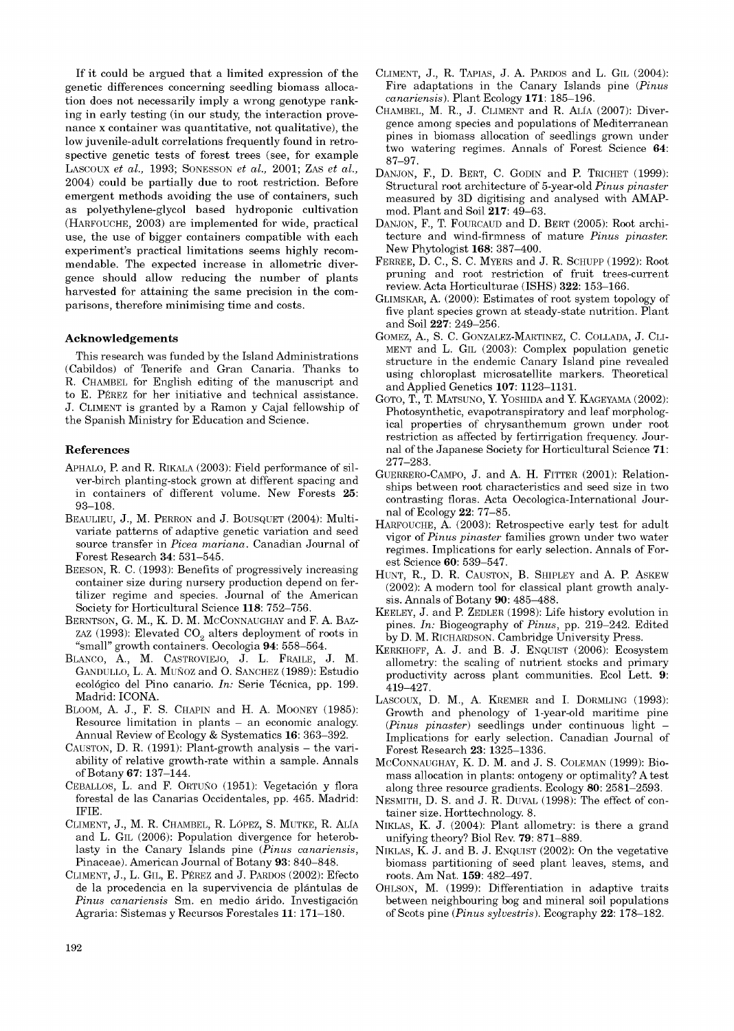If it could be argued that a limited expression of the genetic differences concerning seedling biomass allocation does not necessarily imply a wrong genotype ranking in early testing (in our study, the interaction provenance x container was quantitative, not qualitative), the low juvenile-adult correlations frequently found in retrospective genetic tests of forest trees (see, for example LASCOUX *et al.,* 1993; SONESSON *et al.,* 2001; ZAS *et al.,*  2004) could be partially due to root restriction. Before emergent methods avoiding the use of containers, such as polyethylene-glycol based hydroponic cultivation (HARFOUCHE, 2003) are implemented for wide, practical use, the use of bigger containers compatible with each experiment's practical limitations seems highly recommendable. The expected increase in allometric divergence should allow reducing the number of plants harvested for attaining the same precision in the comparisons, therefore minimising time and costs.

## **Acknowledgements**

This research was funded by the Island Administrations (Cabildos) of Tenerife and Gran Canaria. Thanks to R. CHAMBEL for English editing of the manuscript and to E. PÉREZ for her initiative and technical assistance. J. CLIMENT is granted by a Ramon y Cajal fellowship of the Spanish Ministry for Education and Science.

#### **Reference s**

- APHALO, P. and R. RIKALA (2003): Field performance of silver-birch planting-stock grown at different spacing and in containers of different volume. New Forests **25**: 93–108.
- BEAULIEU, J., M. PERRON and J. BOUSQUET (2004): Multivariate patterns of adaptive genetic variation and seed source transfer in *Picea mariana*. Canadian Journal of Forest Research **34**: 531–545.
- BEESON, R. C. (1993): Benefits of progressively increasing container size during nursery production depend on fertilizer regime and species. Journal of the American Society for Horticultural Science **118**: 752–756.
- BERNTSON, G. M., K. D. M. MCCONNAUGHAY and F. A. BAZ-ZAZ (1993): Elevated  $CO<sub>2</sub>$  alters deployment of roots in "small" growth containers. Oecologia **94**: 558–564.
- BLANCO, A., M. CASTROVIEJO, J. L. FRAILE, J. M. GANDULLO, L. A. MUÑOZ and O. SANCHEZ (1989): Estudio ecológico del Pino canario. *In:* Serie Técnica, pp. 199. Madrid: ICONA.
- BLOOM, A. J., F. S. CHAPIN and H. A. MOONEY (1985): Resource limitation in plants – an economic analogy. Annual Review of Ecology & Systematics **16**: 363–392.
- CAUSTON, D. R. (1991): Plant-growth analysis the variability of relative growth-rate within a sample. Annals of Botany **67**: 137–144.
- CEBALLOS, L. and F. ORTUÑO (1951): Vegetación y flora forestal de las Canarias Occidentales, pp. 465. Madrid: IFIE .
- CLIMENT, J., M. R. CHAMBEL, R. LÓPEZ, S. MUTKE, R. ALÍA and L. GIL (2006): Population divergence for heteroblasty in the Canary Islands pine (*Pinus canariensis*, Pinaceae). American Journal of Botany **93**: 840–848.
- CLIMENT, J., L. GIL, E. PÉREZ and J. PARDOS (2002): Efecto de la procedencia en la supervivencia de plántulas de *Pinus canariensis* Sm. en medio árido. Investigación Agraria: Sistemas y Recursos Forestales **11**: 171–180.
- CLIMENT, J., R. TAPIAS, J. A. PARDOS and L. GIL (2004): Fire adaptations in the Canary Islands pine (*Pinus canariensis*). Plant Ecology **171**: 185–196.
- CHAMBEL, M. R., J. CLIMENT and R. ALÍA (2007): Divergence among species and populations of Mediterranean pines in biomass allocation of seedlings grown under two watering regimes. Annals of Forest Science **64**: 87–97.
- DANJON, F., D. BERT, C. GODIN and P. TRICHET (1999): Structural root architecture of 5-year-old *Pinus pinaster*  measured by 3D digitising and analysed with AMAPmod. Plant and Soil **217**: 49–63.
- DANJON, F., T. FOURCAUD and D. BERT (2005): Root architecture and wind-firmness of mature *Pinus pinaster.*  New Phytologist **168**: 387–400.
- FERREE, D. C., S. C. MYERS and J. R. SCHUPP (1992): Root pruning and root restriction of fruit trees-current review. Acta Horticulturae (ISHS ) **322**: 153–166.
- GLIMSKAR, A . (2000): Estimates of root system topology of five plant species grown at steady-state nutrition. Plant and Soil **227**: 249–256.
- GOMEZ, A., S. C. GONZALEZ-MARTINEZ, C. COLLADA, J. CLI-MENT and L. GIL  $(2003)$ : Complex population genetic structure in the endemic Canary Island pine revealed using chloroplast microsatellite markers. Theoretical and Applied Genetics **107**: 1123–1131.
- GOTO, T., T. MATSUNO, Y. YOSHIDA and Y. KAGEYAMA (2002): Photosynthetic, evapotranspiratory and leaf morphological properties of chrysanthemum grown under root restriction as affected by fertirrigation frequency. Journal of the Japanese Society for Horticultural Science **71**: 277–283.
- GUERRERO-CAMPO, J. and A. H. FITTER (2001): Relationships between root characteristics and seed size in two contrasting floras. Acta Oecologica-International Journal of Ecology **22**: 77–85.
- HARFOUCHE, A. (2003): Retrospective early test for adult vigor of *Pinus pinaster* families grown under two water regimes. Implications for early selection. Annals of Forest Science **60**: 539–547.
- HUNT, R., D. R. CAUSTON, B. SHIPLEY and A. P. ASKEW (2002): A modern tool for classical plant growth analysis. Annals of Botany **90**: 485–488.
- KEELEY, J. and P. ZEDLER (1998): Life history evolution in pines. *In:* Biogeography of *Pinus*, pp. 219–242. Edited by D. M. RICHARDSON. Cambridge University Press.
- KERKHOFF, A. J. and B. J. ENQUIST (2006): Ecosystem allometry: the scaling of nutrient stocks and primary productivity across plant communities. Ecol Lett. **9**: 419–427.
- LASCOUX, D. M., A. KREMER and I. DORMLING (1993): Growth and phenology of 1-year-old maritime pine (*Pinus pinaster*) seedlings under continuous light – Implications for early selection. Canadian Journal of Forest Research **23**: 1325–1336.
- MCCONNAUGHAY, K. D. M. and J. S. COLEMAN (1999): Biomass allocation in plants: ontogeny or optimality? A test along three resource gradients. Ecology **80**: 2581–2593.
- NESMITH, D. S. and J. R. DUVAL (1998): The effect of container size. Horttechnology. 8.
- NIKLAS, K. J. (2004): Plant allometry: is there a grand unifying theory? Biol Rev. **79**: 871–889.
- NIKLAS, K. J. and B. J. ENQUIST (2002): On the vegetative biomass partitioning of seed plant leaves, stems, and roots. Am Nat. **159**: 482–497.
- OHLSON, M. (1999): Differentiation in adaptive traits between neighbouring bog and mineral soil populations of Scots pine (*Pinus sylvestris*). Ecography **22**: 178–182.